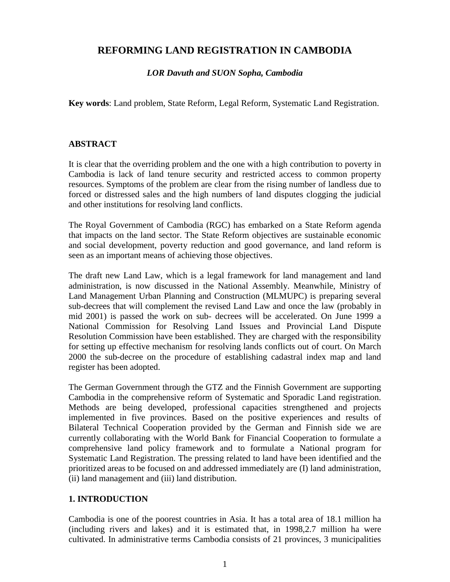# **REFORMING LAND REGISTRATION IN CAMBODIA**

### *LOR Davuth and SUON Sopha, Cambodia*

**Key words**: Land problem, State Reform, Legal Reform, Systematic Land Registration.

### **ABSTRACT**

It is clear that the overriding problem and the one with a high contribution to poverty in Cambodia is lack of land tenure security and restricted access to common property resources. Symptoms of the problem are clear from the rising number of landless due to forced or distressed sales and the high numbers of land disputes clogging the judicial and other institutions for resolving land conflicts.

The Royal Government of Cambodia (RGC) has embarked on a State Reform agenda that impacts on the land sector. The State Reform objectives are sustainable economic and social development, poverty reduction and good governance, and land reform is seen as an important means of achieving those objectives.

The draft new Land Law, which is a legal framework for land management and land administration, is now discussed in the National Assembly. Meanwhile, Ministry of Land Management Urban Planning and Construction (MLMUPC) is preparing several sub-decrees that will complement the revised Land Law and once the law (probably in mid 2001) is passed the work on sub- decrees will be accelerated. On June 1999 a National Commission for Resolving Land Issues and Provincial Land Dispute Resolution Commission have been established. They are charged with the responsibility for setting up effective mechanism for resolving lands conflicts out of court. On March 2000 the sub-decree on the procedure of establishing cadastral index map and land register has been adopted.

The German Government through the GTZ and the Finnish Government are supporting Cambodia in the comprehensive reform of Systematic and Sporadic Land registration. Methods are being developed, professional capacities strengthened and projects implemented in five provinces. Based on the positive experiences and results of Bilateral Technical Cooperation provided by the German and Finnish side we are currently collaborating with the World Bank for Financial Cooperation to formulate a comprehensive land policy framework and to formulate a National program for Systematic Land Registration. The pressing related to land have been identified and the prioritized areas to be focused on and addressed immediately are (I) land administration, (ii) land management and (iii) land distribution.

### **1. INTRODUCTION**

Cambodia is one of the poorest countries in Asia. It has a total area of 18.1 million ha (including rivers and lakes) and it is estimated that, in 1998,2.7 million ha were cultivated. In administrative terms Cambodia consists of 21 provinces, 3 municipalities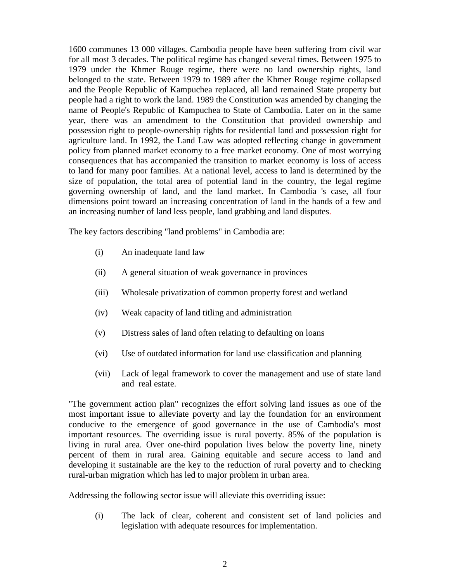1600 communes 13 000 villages. Cambodia people have been suffering from civil war for all most 3 decades. The political regime has changed several times. Between 1975 to 1979 under the Khmer Rouge regime, there were no land ownership rights, land belonged to the state. Between 1979 to 1989 after the Khmer Rouge regime collapsed and the People Republic of Kampuchea replaced, all land remained State property but people had a right to work the land. 1989 the Constitution was amended by changing the name of People's Republic of Kampuchea to State of Cambodia. Later on in the same year, there was an amendment to the Constitution that provided ownership and possession right to people-ownership rights for residential land and possession right for agriculture land. In 1992, the Land Law was adopted reflecting change in government policy from planned market economy to a free market economy. One of most worrying consequences that has accompanied the transition to market economy is loss of access to land for many poor families. At a national level, access to land is determined by the size of population, the total area of potential land in the country, the legal regime governing ownership of land, and the land market. In Cambodia 's case, all four dimensions point toward an increasing concentration of land in the hands of a few and an increasing number of land less people, land grabbing and land disputes.

The key factors describing "land problems" in Cambodia are:

- (i) An inadequate land law
- (ii) A general situation of weak governance in provinces
- (iii) Wholesale privatization of common property forest and wetland
- (iv) Weak capacity of land titling and administration
- (v) Distress sales of land often relating to defaulting on loans
- (vi) Use of outdated information for land use classification and planning
- (vii) Lack of legal framework to cover the management and use of state land and real estate.

"The government action plan" recognizes the effort solving land issues as one of the most important issue to alleviate poverty and lay the foundation for an environment conducive to the emergence of good governance in the use of Cambodia's most important resources. The overriding issue is rural poverty. 85% of the population is living in rural area. Over one-third population lives below the poverty line, ninety percent of them in rural area. Gaining equitable and secure access to land and developing it sustainable are the key to the reduction of rural poverty and to checking rural-urban migration which has led to major problem in urban area.

Addressing the following sector issue will alleviate this overriding issue:

(i) The lack of clear, coherent and consistent set of land policies and legislation with adequate resources for implementation.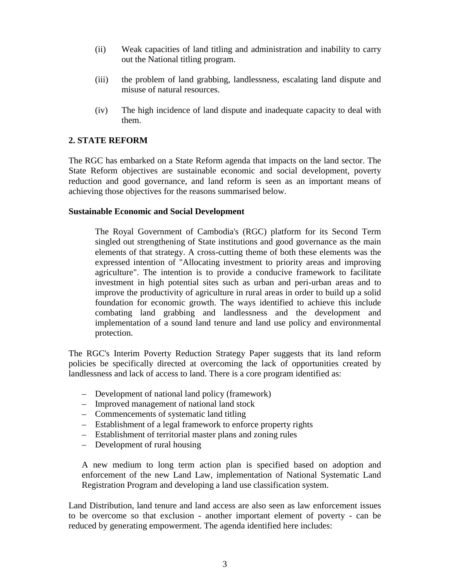- (ii) Weak capacities of land titling and administration and inability to carry out the National titling program.
- (iii) the problem of land grabbing, landlessness, escalating land dispute and misuse of natural resources.
- (iv) The high incidence of land dispute and inadequate capacity to deal with them.

#### **2. STATE REFORM**

The RGC has embarked on a State Reform agenda that impacts on the land sector. The State Reform objectives are sustainable economic and social development, poverty reduction and good governance, and land reform is seen as an important means of achieving those objectives for the reasons summarised below.

#### **Sustainable Economic and Social Development**

The Royal Government of Cambodia's (RGC) platform for its Second Term singled out strengthening of State institutions and good governance as the main elements of that strategy. A cross-cutting theme of both these elements was the expressed intention of "Allocating investment to priority areas and improving agriculture". The intention is to provide a conducive framework to facilitate investment in high potential sites such as urban and peri-urban areas and to improve the productivity of agriculture in rural areas in order to build up a solid foundation for economic growth. The ways identified to achieve this include combating land grabbing and landlessness and the development and implementation of a sound land tenure and land use policy and environmental protection.

The RGC's Interim Poverty Reduction Strategy Paper suggests that its land reform policies be specifically directed at overcoming the lack of opportunities created by landlessness and lack of access to land. There is a core program identified as:

- Development of national land policy (framework)
- Improved management of national land stock
- Commencements of systematic land titling
- Establishment of a legal framework to enforce property rights
- Establishment of territorial master plans and zoning rules
- Development of rural housing

A new medium to long term action plan is specified based on adoption and enforcement of the new Land Law, implementation of National Systematic Land Registration Program and developing a land use classification system.

Land Distribution, land tenure and land access are also seen as law enforcement issues to be overcome so that exclusion - another important element of poverty - can be reduced by generating empowerment. The agenda identified here includes: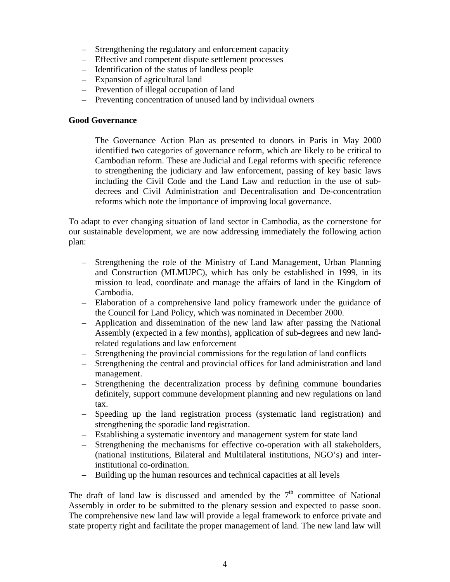- Strengthening the regulatory and enforcement capacity
- Effective and competent dispute settlement processes
- Identification of the status of landless people
- Expansion of agricultural land
- Prevention of illegal occupation of land
- Preventing concentration of unused land by individual owners

#### **Good Governance**

The Governance Action Plan as presented to donors in Paris in May 2000 identified two categories of governance reform, which are likely to be critical to Cambodian reform. These are Judicial and Legal reforms with specific reference to strengthening the judiciary and law enforcement, passing of key basic laws including the Civil Code and the Land Law and reduction in the use of subdecrees and Civil Administration and Decentralisation and De-concentration reforms which note the importance of improving local governance.

To adapt to ever changing situation of land sector in Cambodia, as the cornerstone for our sustainable development, we are now addressing immediately the following action plan:

- Strengthening the role of the Ministry of Land Management, Urban Planning and Construction (MLMUPC), which has only be established in 1999, in its mission to lead, coordinate and manage the affairs of land in the Kingdom of Cambodia.
- Elaboration of a comprehensive land policy framework under the guidance of the Council for Land Policy, which was nominated in December 2000.
- Application and dissemination of the new land law after passing the National Assembly (expected in a few months), application of sub-degrees and new landrelated regulations and law enforcement
- Strengthening the provincial commissions for the regulation of land conflicts
- Strengthening the central and provincial offices for land administration and land management.
- Strengthening the decentralization process by defining commune boundaries definitely, support commune development planning and new regulations on land tax.
- Speeding up the land registration process (systematic land registration) and strengthening the sporadic land registration.
- Establishing a systematic inventory and management system for state land
- Strengthening the mechanisms for effective co-operation with all stakeholders, (national institutions, Bilateral and Multilateral institutions, NGO's) and interinstitutional co-ordination.
- Building up the human resources and technical capacities at all levels

The draft of land law is discussed and amended by the  $7<sup>th</sup>$  committee of National Assembly in order to be submitted to the plenary session and expected to passe soon. The comprehensive new land law will provide a legal framework to enforce private and state property right and facilitate the proper management of land. The new land law will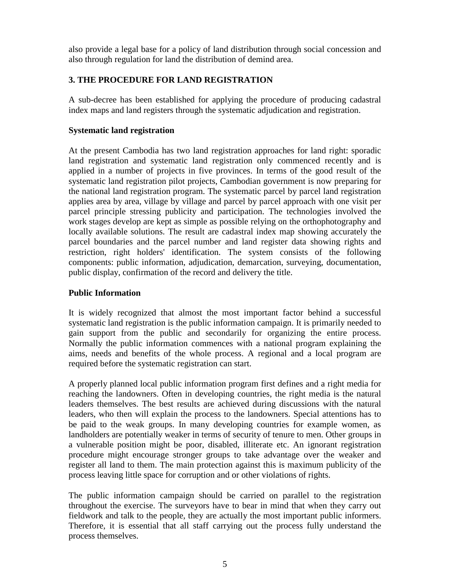also provide a legal base for a policy of land distribution through social concession and also through regulation for land the distribution of demind area.

### **3. THE PROCEDURE FOR LAND REGISTRATION**

A sub-decree has been established for applying the procedure of producing cadastral index maps and land registers through the systematic adjudication and registration.

#### **Systematic land registration**

At the present Cambodia has two land registration approaches for land right: sporadic land registration and systematic land registration only commenced recently and is applied in a number of projects in five provinces. In terms of the good result of the systematic land registration pilot projects, Cambodian government is now preparing for the national land registration program. The systematic parcel by parcel land registration applies area by area, village by village and parcel by parcel approach with one visit per parcel principle stressing publicity and participation. The technologies involved the work stages develop are kept as simple as possible relying on the orthophotography and locally available solutions. The result are cadastral index map showing accurately the parcel boundaries and the parcel number and land register data showing rights and restriction, right holders' identification. The system consists of the following components: public information, adjudication, demarcation, surveying, documentation, public display, confirmation of the record and delivery the title.

### **Public Information**

It is widely recognized that almost the most important factor behind a successful systematic land registration is the public information campaign. It is primarily needed to gain support from the public and secondarily for organizing the entire process. Normally the public information commences with a national program explaining the aims, needs and benefits of the whole process. A regional and a local program are required before the systematic registration can start.

A properly planned local public information program first defines and a right media for reaching the landowners. Often in developing countries, the right media is the natural leaders themselves. The best results are achieved during discussions with the natural leaders, who then will explain the process to the landowners. Special attentions has to be paid to the weak groups. In many developing countries for example women, as landholders are potentially weaker in terms of security of tenure to men. Other groups in a vulnerable position might be poor, disabled, illiterate etc. An ignorant registration procedure might encourage stronger groups to take advantage over the weaker and register all land to them. The main protection against this is maximum publicity of the process leaving little space for corruption and or other violations of rights.

The public information campaign should be carried on parallel to the registration throughout the exercise. The surveyors have to bear in mind that when they carry out fieldwork and talk to the people, they are actually the most important public informers. Therefore, it is essential that all staff carrying out the process fully understand the process themselves.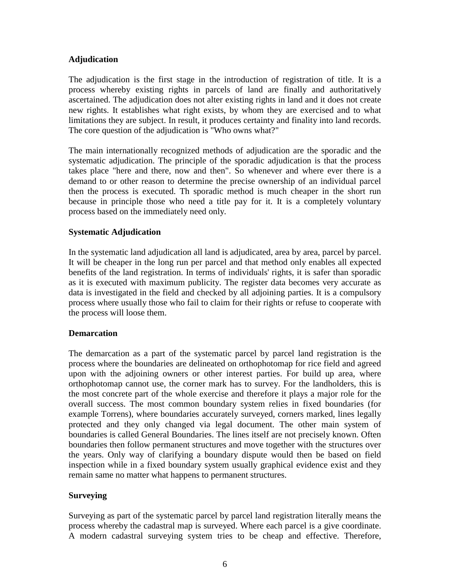### **Adjudication**

The adjudication is the first stage in the introduction of registration of title. It is a process whereby existing rights in parcels of land are finally and authoritatively ascertained. The adjudication does not alter existing rights in land and it does not create new rights. It establishes what right exists, by whom they are exercised and to what limitations they are subject. In result, it produces certainty and finality into land records. The core question of the adjudication is "Who owns what?"

The main internationally recognized methods of adjudication are the sporadic and the systematic adjudication. The principle of the sporadic adjudication is that the process takes place "here and there, now and then". So whenever and where ever there is a demand to or other reason to determine the precise ownership of an individual parcel then the process is executed. Th sporadic method is much cheaper in the short run because in principle those who need a title pay for it. It is a completely voluntary process based on the immediately need only*.*

#### **Systematic Adjudication**

In the systematic land adjudication all land is adjudicated, area by area, parcel by parcel. It will be cheaper in the long run per parcel and that method only enables all expected benefits of the land registration. In terms of individuals' rights, it is safer than sporadic as it is executed with maximum publicity. The register data becomes very accurate as data is investigated in the field and checked by all adjoining parties. It is a compulsory process where usually those who fail to claim for their rights or refuse to cooperate with the process will loose them.

#### **Demarcation**

The demarcation as a part of the systematic parcel by parcel land registration is the process where the boundaries are delineated on orthophotomap for rice field and agreed upon with the adjoining owners or other interest parties. For build up area, where orthophotomap cannot use, the corner mark has to survey. For the landholders, this is the most concrete part of the whole exercise and therefore it plays a major role for the overall success. The most common boundary system relies in fixed boundaries (for example Torrens), where boundaries accurately surveyed, corners marked, lines legally protected and they only changed via legal document. The other main system of boundaries is called General Boundaries. The lines itself are not precisely known. Often boundaries then follow permanent structures and move together with the structures over the years. Only way of clarifying a boundary dispute would then be based on field inspection while in a fixed boundary system usually graphical evidence exist and they remain same no matter what happens to permanent structures.

#### **Surveying**

Surveying as part of the systematic parcel by parcel land registration literally means the process whereby the cadastral map is surveyed. Where each parcel is a give coordinate. A modern cadastral surveying system tries to be cheap and effective. Therefore,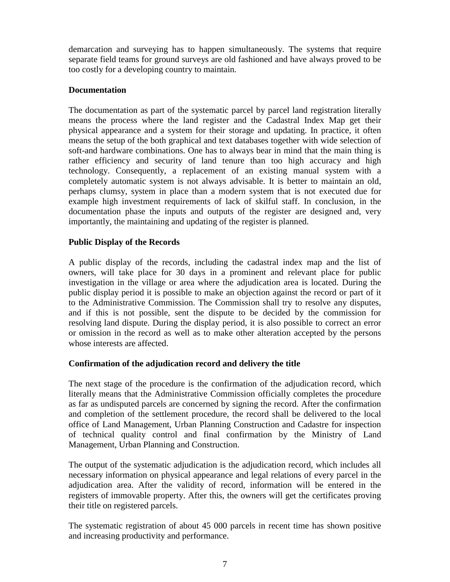demarcation and surveying has to happen simultaneously. The systems that require separate field teams for ground surveys are old fashioned and have always proved to be too costly for a developing country to maintain.

### **Documentation**

The documentation as part of the systematic parcel by parcel land registration literally means the process where the land register and the Cadastral Index Map get their physical appearance and a system for their storage and updating. In practice, it often means the setup of the both graphical and text databases together with wide selection of soft-and hardware combinations. One has to always bear in mind that the main thing is rather efficiency and security of land tenure than too high accuracy and high technology. Consequently, a replacement of an existing manual system with a completely automatic system is not always advisable. It is better to maintain an old, perhaps clumsy, system in place than a modern system that is not executed due for example high investment requirements of lack of skilful staff. In conclusion, in the documentation phase the inputs and outputs of the register are designed and, very importantly, the maintaining and updating of the register is planned.

### **Public Display of the Records**

A public display of the records, including the cadastral index map and the list of owners, will take place for 30 days in a prominent and relevant place for public investigation in the village or area where the adjudication area is located. During the public display period it is possible to make an objection against the record or part of it to the Administrative Commission. The Commission shall try to resolve any disputes, and if this is not possible, sent the dispute to be decided by the commission for resolving land dispute. During the display period, it is also possible to correct an error or omission in the record as well as to make other alteration accepted by the persons whose interests are affected.

### **Confirmation of the adjudication record and delivery the title**

The next stage of the procedure is the confirmation of the adjudication record, which literally means that the Administrative Commission officially completes the procedure as far as undisputed parcels are concerned by signing the record. After the confirmation and completion of the settlement procedure, the record shall be delivered to the local office of Land Management, Urban Planning Construction and Cadastre for inspection of technical quality control and final confirmation by the Ministry of Land Management, Urban Planning and Construction.

The output of the systematic adjudication is the adjudication record, which includes all necessary information on physical appearance and legal relations of every parcel in the adjudication area. After the validity of record, information will be entered in the registers of immovable property. After this, the owners will get the certificates proving their title on registered parcels.

The systematic registration of about 45 000 parcels in recent time has shown positive and increasing productivity and performance.